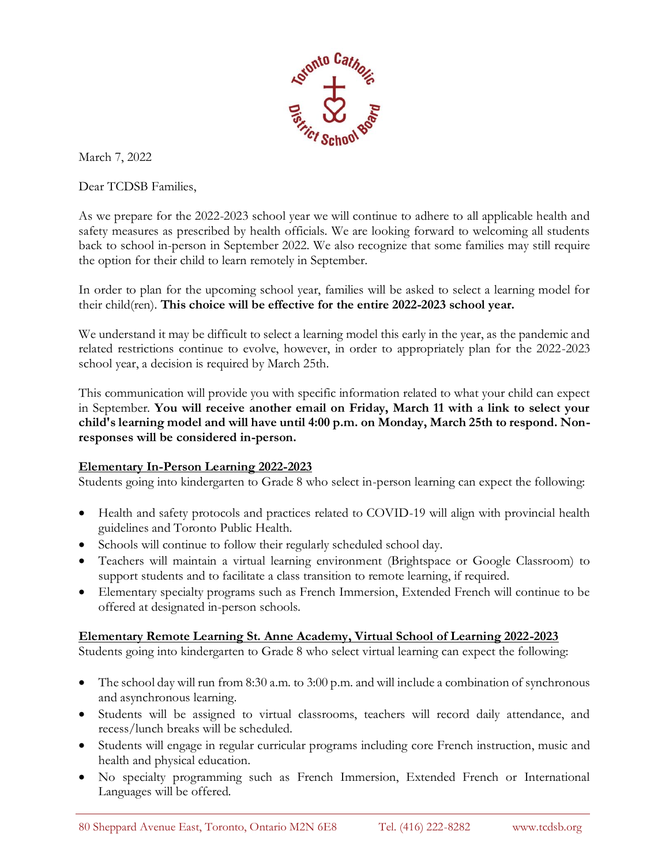

March 7, 2022

Dear TCDSB Families,

As we prepare for the 2022-2023 school year we will continue to adhere to all applicable health and safety measures as prescribed by health officials. We are looking forward to welcoming all students back to school in-person in September 2022. We also recognize that some families may still require the option for their child to learn remotely in September.

In order to plan for the upcoming school year, families will be asked to select a learning model for their child(ren). **This choice will be effective for the entire 2022-2023 school year.** 

We understand it may be difficult to select a learning model this early in the year, as the pandemic and related restrictions continue to evolve, however, in order to appropriately plan for the 2022-2023 school year, a decision is required by March 25th.

This communication will provide you with specific information related to what your child can expect in September. **You will receive another email on Friday, March 11 with a link to select your child's learning model and will have until 4:00 p.m. on Monday, March 25th to respond. Nonresponses will be considered in-person.**

## **Elementary In-Person Learning 2022-2023**

Students going into kindergarten to Grade 8 who select in-person learning can expect the following:

- Health and safety protocols and practices related to COVID-19 will align with provincial health guidelines and Toronto Public Health.
- Schools will continue to follow their regularly scheduled school day.
- Teachers will maintain a virtual learning environment (Brightspace or Google Classroom) to support students and to facilitate a class transition to remote learning, if required.
- Elementary specialty programs such as French Immersion, Extended French will continue to be offered at designated in-person schools.

## **Elementary Remote Learning St. Anne Academy, Virtual School of Learning 2022-2023**

Students going into kindergarten to Grade 8 who select virtual learning can expect the following:

- The school day will run from 8:30 a.m. to 3:00 p.m. and will include a combination of synchronous and asynchronous learning.
- Students will be assigned to virtual classrooms, teachers will record daily attendance, and recess/lunch breaks will be scheduled.
- Students will engage in regular curricular programs including core French instruction, music and health and physical education.
- No specialty programming such as French Immersion, Extended French or International Languages will be offered.